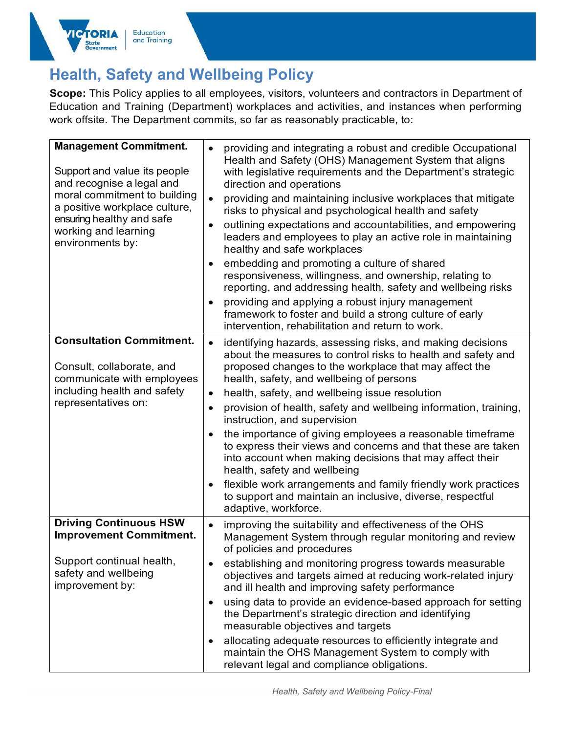

## Health, Safety and Wellbeing Policy

Scope: This Policy applies to all employees, visitors, volunteers and contractors in Department of Education and Training (Department) workplaces and activities, and instances when performing work offsite. The Department commits, so far as reasonably practicable, to:

| <b>Management Commitment.</b><br>Support and value its people<br>and recognise a legal and<br>moral commitment to building<br>a positive workplace culture,<br>ensuring healthy and safe<br>working and learning<br>environments by: | providing and integrating a robust and credible Occupational<br>Health and Safety (OHS) Management System that aligns<br>with legislative requirements and the Department's strategic<br>direction and operations<br>providing and maintaining inclusive workplaces that mitigate<br>risks to physical and psychological health and safety<br>outlining expectations and accountabilities, and empowering<br>leaders and employees to play an active role in maintaining<br>healthy and safe workplaces<br>embedding and promoting a culture of shared<br>responsiveness, willingness, and ownership, relating to<br>reporting, and addressing health, safety and wellbeing risks<br>providing and applying a robust injury management<br>framework to foster and build a strong culture of early<br>intervention, rehabilitation and return to work. |
|--------------------------------------------------------------------------------------------------------------------------------------------------------------------------------------------------------------------------------------|-------------------------------------------------------------------------------------------------------------------------------------------------------------------------------------------------------------------------------------------------------------------------------------------------------------------------------------------------------------------------------------------------------------------------------------------------------------------------------------------------------------------------------------------------------------------------------------------------------------------------------------------------------------------------------------------------------------------------------------------------------------------------------------------------------------------------------------------------------|
| <b>Consultation Commitment.</b><br>Consult, collaborate, and<br>communicate with employees<br>including health and safety<br>representatives on:                                                                                     | identifying hazards, assessing risks, and making decisions<br>about the measures to control risks to health and safety and<br>proposed changes to the workplace that may affect the<br>health, safety, and wellbeing of persons<br>health, safety, and wellbeing issue resolution<br>$\bullet$<br>provision of health, safety and wellbeing information, training,<br>instruction, and supervision<br>the importance of giving employees a reasonable timeframe<br>to express their views and concerns and that these are taken<br>into account when making decisions that may affect their<br>health, safety and wellbeing<br>flexible work arrangements and family friendly work practices<br>$\bullet$<br>to support and maintain an inclusive, diverse, respectful<br>adaptive, workforce.                                                        |
| <b>Driving Continuous HSW</b><br><b>Improvement Commitment.</b><br>Support continual health,<br>safety and wellbeing<br>improvement by:                                                                                              | improving the suitability and effectiveness of the OHS<br>Management System through regular monitoring and review<br>of policies and procedures<br>establishing and monitoring progress towards measurable<br>objectives and targets aimed at reducing work-related injury<br>and ill health and improving safety performance<br>using data to provide an evidence-based approach for setting<br>the Department's strategic direction and identifying<br>measurable objectives and targets<br>allocating adequate resources to efficiently integrate and                                                                                                                                                                                                                                                                                              |
|                                                                                                                                                                                                                                      | maintain the OHS Management System to comply with<br>relevant legal and compliance obligations.                                                                                                                                                                                                                                                                                                                                                                                                                                                                                                                                                                                                                                                                                                                                                       |